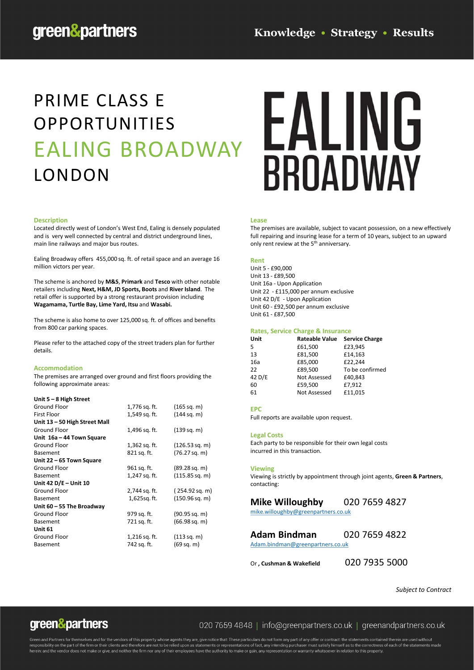## PRIME CLASS E OPPORTUNITIES EALING BROADWAY LONDON

#### **Description**

Located directly west of London's West End, Ealing is densely populated and is very well connected by central and district underground lines, main line railways and major bus routes.

Ealing Broadway offers 455,000 sq. ft. of retail space and an average 16 million victors per year.

The scheme is anchored by **M&S**, **Primark** and **Tesco** with other notable retailers including **Next, H&M, JD Sports, Boots** and **River Island**. The retail offer is supported by a strong restaurant provision including **Wagamama, Turtle Bay, Lime Yard, Itsu** and **Wasabi.** 

The scheme is also home to over 125,000 sq. ft. of offices and benefits from 800 car parking spaces.

Please refer to the attached copy of the street traders plan for further details.

#### **Accommodation**

The premises are arranged over ground and first floors providing the following approximate areas:

#### **Unit 5 – 8 High Street**

| 1,776 sq. ft. | (165 sq. m)             |
|---------------|-------------------------|
| 1,549 sq. ft. | (144 sq. m)             |
|               |                         |
| 1,496 sq. ft. | (139 sq. m)             |
|               |                         |
| 1,362 sq. ft. | $(126.53$ sq. m)        |
| 821 sq. ft.   | $(76.27 \text{ sq. m})$ |
|               |                         |
| 961 sq. ft.   | $(89.28 \text{ sq. m})$ |
| 1,247 sq. ft. | $(115.85$ sq. m)        |
|               |                         |
| 2,744 sq. ft. | (254.92 sq. m)          |
| 1,625sg. ft.  | $(150.96$ sq. m)        |
|               |                         |
| 979 sq. ft.   | $(90.95 \text{ sq. m})$ |
| 721 sq. ft.   | $(66.98$ sq. m)         |
|               |                         |
| 1,216 sq. ft. | (113 sq. m)             |
| 742 sq. ft.   | (69 sg. m)              |
|               |                         |

# **FALING BROADWAY**

#### **Lease**

The premises are available, subject to vacant possession, on a new effectively full repairing and insuring lease for a term of 10 years, subject to an upward only rent review at the 5<sup>th</sup> anniversary.

#### **Rent**

Unit 5 - £90,000 Unit 13 - £89,500 Unit 16a - Upon Application Unit 22 - £115,000 per annum exclusive Unit 42 D/E - Upon Application Unit 60 - £92,500 per annum exclusive Unit 61 - £87,500

#### **Rates, Service Charge & Insurance**

| Unit   | <b>Rateable Value</b> | <b>Service Charge</b> |
|--------|-----------------------|-----------------------|
| 5      | £61,500               | £23,945               |
| 13     | £81,500               | £14,163               |
| 16a    | £85,000               | £22,244               |
| 22     | £89,500               | To be confirmed       |
| 42 D/E | <b>Not Assessed</b>   | £40,843               |
| 60     | £59.500               | £7.912                |
| 61     | <b>Not Assessed</b>   | £11,015               |
|        |                       |                       |

#### **EPC**

Full reports are available upon request.

#### **Legal Costs**

Each party to be responsible for their own legal costs incurred in this transaction.

#### **Viewing**

Viewing is strictly by appointment through joint agents, **Green & Partners**, contacting:

#### **Mike Willoughby** 020 7659 4827

[mike.willoughby@greenpartners.co.uk](mailto:mike.willoughby@greenpartners.co.uk)

**Adam Bindman** 020 7659 4822 [Adam.bindman@greenpartners.co.uk](mailto:Adam.bindman@greenpartners.co.uk)

Or **, Cushman & Wakefield** 020 7935 5000

*Subject to Contract*

### green&partners

#### 020 7659 4848 | info@greenpartners.co.uk | greenandpartners.co.uk

Green and Partners for themselves and for the vendors of this property whose agents they are, give notice that. These particulars do not form any part of any offer or contract: the statements contained therein are used wit herein: and the vendor does not make or give, and neither the firm nor any of their employees have the authority to make or gain, any representation or warranty whatsoever in relation to this property.